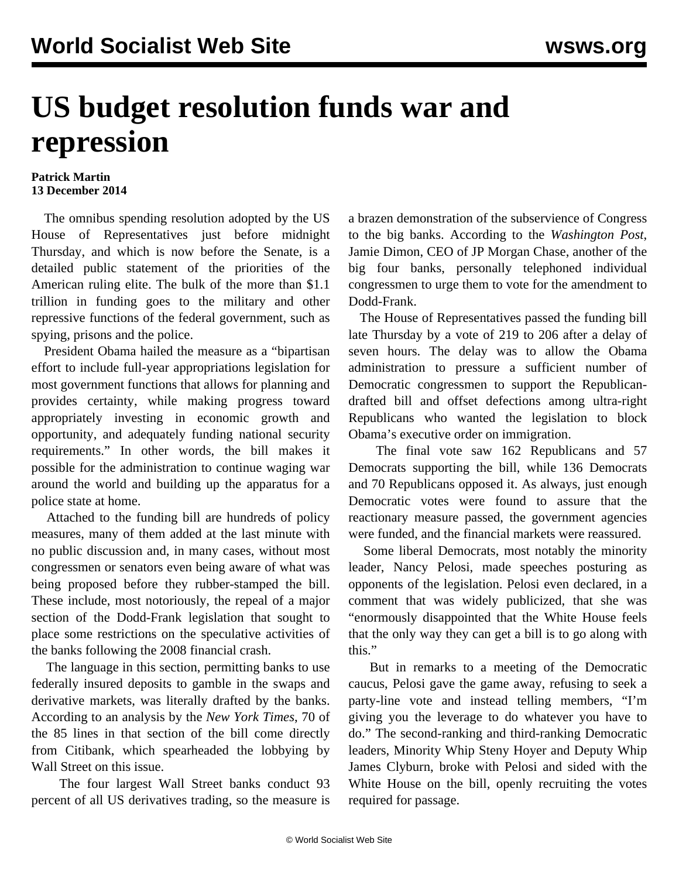## **US budget resolution funds war and repression**

## **Patrick Martin 13 December 2014**

 The omnibus spending resolution adopted by the US House of Representatives just before midnight Thursday, and which is now before the Senate, is a detailed public statement of the priorities of the American ruling elite. The bulk of the more than \$1.1 trillion in funding goes to the military and other repressive functions of the federal government, such as spying, prisons and the police.

 President Obama hailed the measure as a "bipartisan effort to include full-year appropriations legislation for most government functions that allows for planning and provides certainty, while making progress toward appropriately investing in economic growth and opportunity, and adequately funding national security requirements." In other words, the bill makes it possible for the administration to continue waging war around the world and building up the apparatus for a police state at home.

 Attached to the funding bill are hundreds of policy measures, many of them added at the last minute with no public discussion and, in many cases, without most congressmen or senators even being aware of what was being proposed before they rubber-stamped the bill. These include, most notoriously, the repeal of a major section of the Dodd-Frank legislation that sought to place some restrictions on the speculative activities of the banks following the 2008 financial crash.

 The language in this section, permitting banks to use federally insured deposits to gamble in the swaps and derivative markets, was literally drafted by the banks. According to an analysis by the *New York Times*, 70 of the 85 lines in that section of the bill come directly from Citibank, which spearheaded the lobbying by Wall Street on this issue.

 The four largest Wall Street banks conduct 93 percent of all US derivatives trading, so the measure is

a brazen demonstration of the subservience of Congress to the big banks. According to the *Washington Post*, Jamie Dimon, CEO of JP Morgan Chase, another of the big four banks, personally telephoned individual congressmen to urge them to vote for the amendment to Dodd-Frank.

 The House of Representatives passed the funding bill late Thursday by a vote of 219 to 206 after a delay of seven hours. The delay was to allow the Obama administration to pressure a sufficient number of Democratic congressmen to support the Republicandrafted bill and offset defections among ultra-right Republicans who wanted the legislation to block Obama's executive order on immigration.

 The final vote saw 162 Republicans and 57 Democrats supporting the bill, while 136 Democrats and 70 Republicans opposed it. As always, just enough Democratic votes were found to assure that the reactionary measure passed, the government agencies were funded, and the financial markets were reassured.

 Some liberal Democrats, most notably the minority leader, Nancy Pelosi, made speeches posturing as opponents of the legislation. Pelosi even declared, in a comment that was widely publicized, that she was "enormously disappointed that the White House feels that the only way they can get a bill is to go along with this."

 But in remarks to a meeting of the Democratic caucus, Pelosi gave the game away, refusing to seek a party-line vote and instead telling members, "I'm giving you the leverage to do whatever you have to do." The second-ranking and third-ranking Democratic leaders, Minority Whip Steny Hoyer and Deputy Whip James Clyburn, broke with Pelosi and sided with the White House on the bill, openly recruiting the votes required for passage.